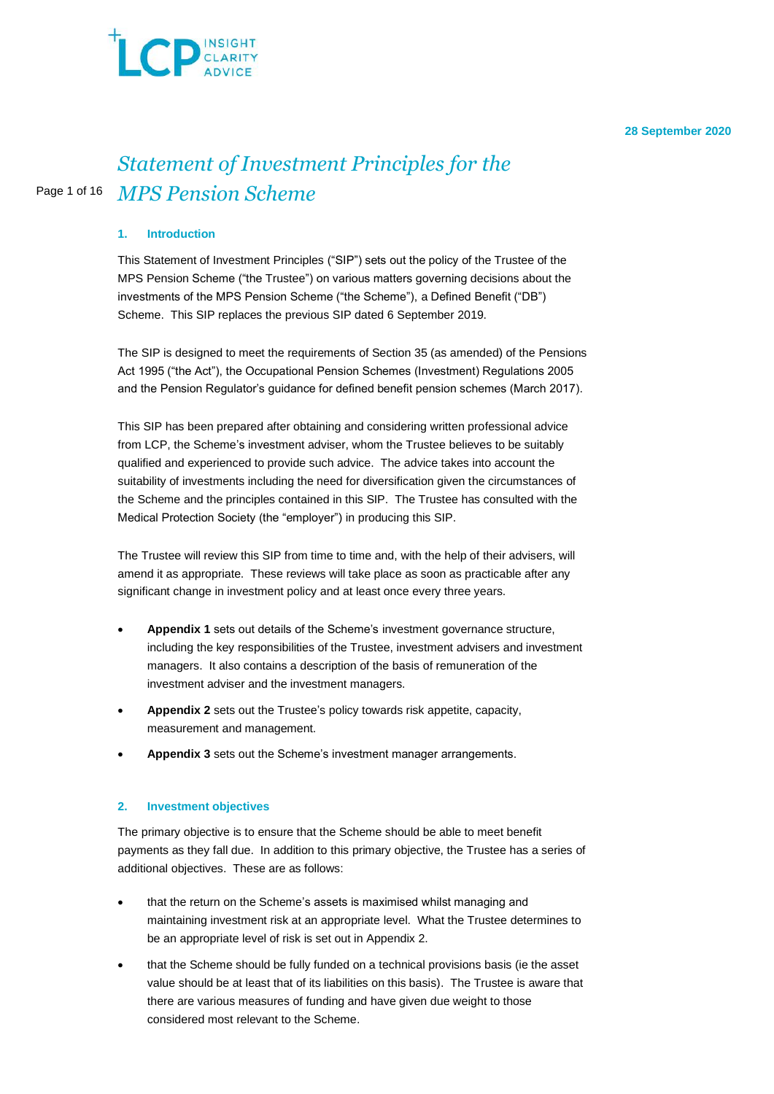

#### **28 September 2020**

# Page 1 of 16 *Statement of Investment Principles for the MPS Pension Scheme*

# **1. Introduction**

This Statement of Investment Principles ("SIP") sets out the policy of the Trustee of the MPS Pension Scheme ("the Trustee") on various matters governing decisions about the investments of the MPS Pension Scheme ("the Scheme"), a Defined Benefit ("DB") Scheme. This SIP replaces the previous SIP dated 6 September 2019.

The SIP is designed to meet the requirements of Section 35 (as amended) of the Pensions Act 1995 ("the Act"), the Occupational Pension Schemes (Investment) Regulations 2005 and the Pension Regulator's guidance for defined benefit pension schemes (March 2017).

This SIP has been prepared after obtaining and considering written professional advice from LCP, the Scheme's investment adviser, whom the Trustee believes to be suitably qualified and experienced to provide such advice. The advice takes into account the suitability of investments including the need for diversification given the circumstances of the Scheme and the principles contained in this SIP. The Trustee has consulted with the Medical Protection Society (the "employer") in producing this SIP.

The Trustee will review this SIP from time to time and, with the help of their advisers, will amend it as appropriate. These reviews will take place as soon as practicable after any significant change in investment policy and at least once every three years.

- **Appendix 1** sets out details of the Scheme's investment governance structure, including the key responsibilities of the Trustee, investment advisers and investment managers. It also contains a description of the basis of remuneration of the investment adviser and the investment managers.
- **Appendix 2** sets out the Trustee's policy towards risk appetite, capacity, measurement and management.
- **Appendix 3** sets out the Scheme's investment manager arrangements.

#### **2. Investment objectives**

The primary objective is to ensure that the Scheme should be able to meet benefit payments as they fall due. In addition to this primary objective, the Trustee has a series of additional objectives. These are as follows:

- that the return on the Scheme's assets is maximised whilst managing and maintaining investment risk at an appropriate level. What the Trustee determines to be an appropriate level of risk is set out in Appendix 2.
- that the Scheme should be fully funded on a technical provisions basis (ie the asset value should be at least that of its liabilities on this basis). The Trustee is aware that there are various measures of funding and have given due weight to those considered most relevant to the Scheme.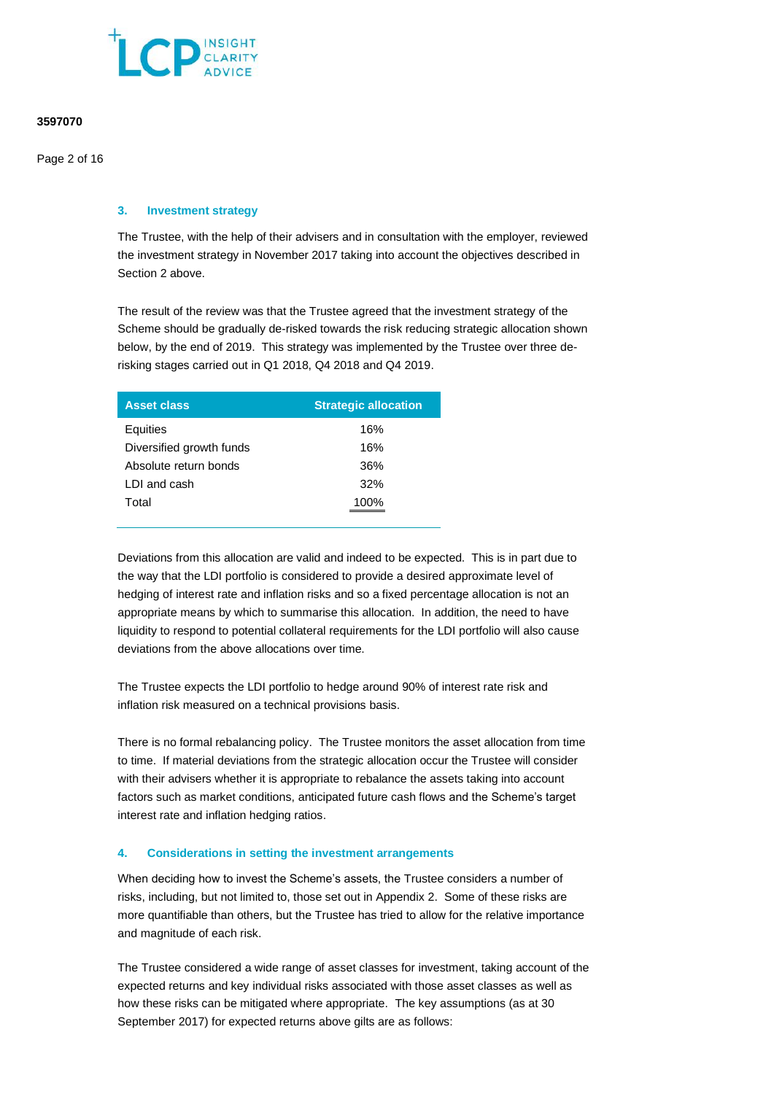

Page 2 of 16

## **3. Investment strategy**

The Trustee, with the help of their advisers and in consultation with the employer, reviewed the investment strategy in November 2017 taking into account the objectives described in Section 2 above.

The result of the review was that the Trustee agreed that the investment strategy of the Scheme should be gradually de-risked towards the risk reducing strategic allocation shown below, by the end of 2019. This strategy was implemented by the Trustee over three derisking stages carried out in Q1 2018, Q4 2018 and Q4 2019.

| <b>Asset class</b>       | <b>Strategic allocation</b> |
|--------------------------|-----------------------------|
| Equities                 | 16%                         |
| Diversified growth funds | 16%                         |
| Absolute return bonds    | 36%                         |
| LDI and cash             | 32%                         |
| Total                    | 100%                        |

Deviations from this allocation are valid and indeed to be expected. This is in part due to the way that the LDI portfolio is considered to provide a desired approximate level of hedging of interest rate and inflation risks and so a fixed percentage allocation is not an appropriate means by which to summarise this allocation. In addition, the need to have liquidity to respond to potential collateral requirements for the LDI portfolio will also cause deviations from the above allocations over time.

The Trustee expects the LDI portfolio to hedge around 90% of interest rate risk and inflation risk measured on a technical provisions basis.

There is no formal rebalancing policy. The Trustee monitors the asset allocation from time to time. If material deviations from the strategic allocation occur the Trustee will consider with their advisers whether it is appropriate to rebalance the assets taking into account factors such as market conditions, anticipated future cash flows and the Scheme's target interest rate and inflation hedging ratios.

#### **4. Considerations in setting the investment arrangements**

When deciding how to invest the Scheme's assets, the Trustee considers a number of risks, including, but not limited to, those set out in Appendix 2. Some of these risks are more quantifiable than others, but the Trustee has tried to allow for the relative importance and magnitude of each risk.

The Trustee considered a wide range of asset classes for investment, taking account of the expected returns and key individual risks associated with those asset classes as well as how these risks can be mitigated where appropriate. The key assumptions (as at 30 September 2017) for expected returns above gilts are as follows: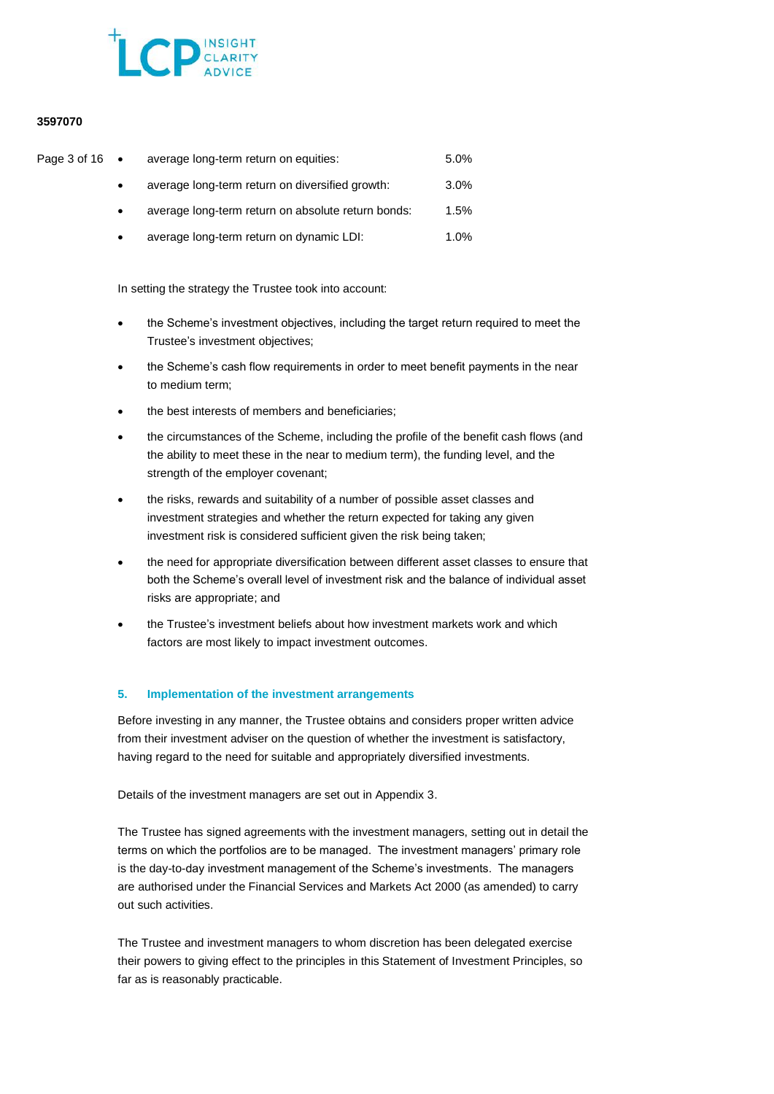

| Page 3 of 16 • | average long-term return on equities:              | 5.0% |
|----------------|----------------------------------------------------|------|
|                | average long-term return on diversified growth:    | 3.0% |
|                | average long-term return on absolute return bonds: | 1.5% |
|                | average long-term return on dynamic LDI:           | 1.0% |

In setting the strategy the Trustee took into account:

- the Scheme's investment objectives, including the target return required to meet the Trustee's investment objectives;
- the Scheme's cash flow requirements in order to meet benefit payments in the near to medium term;
- the best interests of members and beneficiaries;
- the circumstances of the Scheme, including the profile of the benefit cash flows (and the ability to meet these in the near to medium term), the funding level, and the strength of the employer covenant;
- the risks, rewards and suitability of a number of possible asset classes and investment strategies and whether the return expected for taking any given investment risk is considered sufficient given the risk being taken;
- the need for appropriate diversification between different asset classes to ensure that both the Scheme's overall level of investment risk and the balance of individual asset risks are appropriate; and
- the Trustee's investment beliefs about how investment markets work and which factors are most likely to impact investment outcomes.

# **5. Implementation of the investment arrangements**

Before investing in any manner, the Trustee obtains and considers proper written advice from their investment adviser on the question of whether the investment is satisfactory, having regard to the need for suitable and appropriately diversified investments.

Details of the investment managers are set out in Appendix 3.

The Trustee has signed agreements with the investment managers, setting out in detail the terms on which the portfolios are to be managed. The investment managers' primary role is the day-to-day investment management of the Scheme's investments. The managers are authorised under the Financial Services and Markets Act 2000 (as amended) to carry out such activities.

The Trustee and investment managers to whom discretion has been delegated exercise their powers to giving effect to the principles in this Statement of Investment Principles, so far as is reasonably practicable.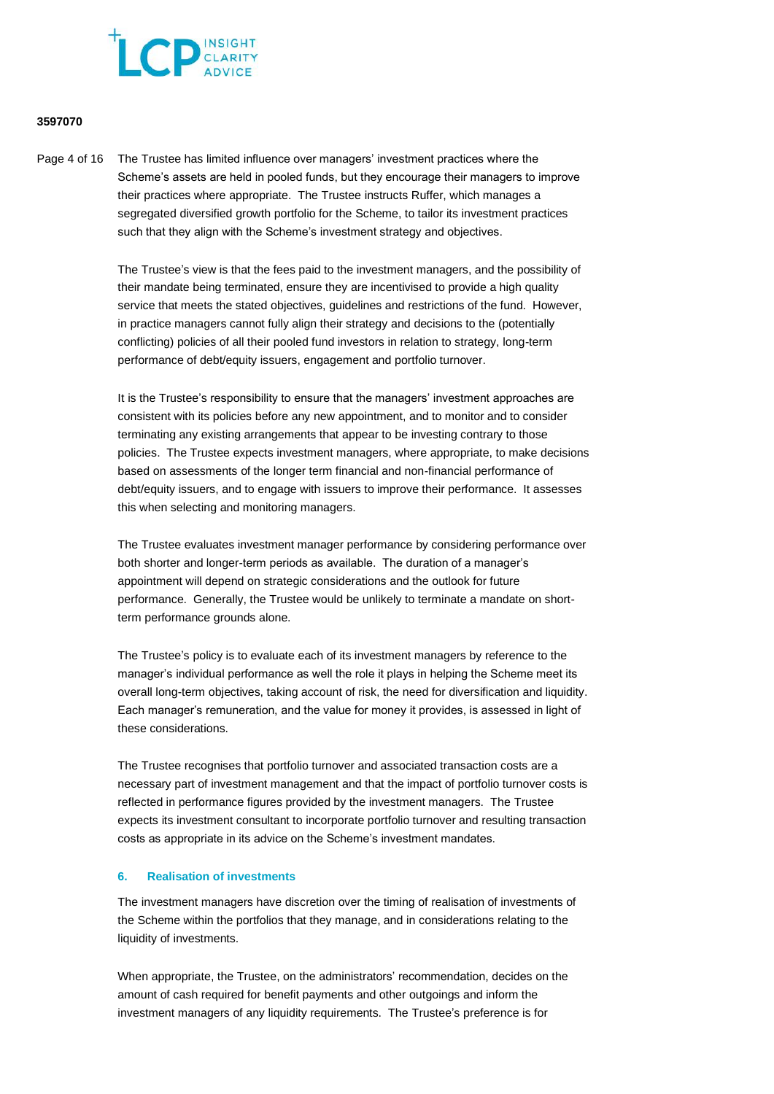

Page 4 of 16 The Trustee has limited influence over managers' investment practices where the Scheme's assets are held in pooled funds, but they encourage their managers to improve their practices where appropriate. The Trustee instructs Ruffer, which manages a segregated diversified growth portfolio for the Scheme, to tailor its investment practices such that they align with the Scheme's investment strategy and objectives.

> The Trustee's view is that the fees paid to the investment managers, and the possibility of their mandate being terminated, ensure they are incentivised to provide a high quality service that meets the stated objectives, guidelines and restrictions of the fund. However, in practice managers cannot fully align their strategy and decisions to the (potentially conflicting) policies of all their pooled fund investors in relation to strategy, long-term performance of debt/equity issuers, engagement and portfolio turnover.

It is the Trustee's responsibility to ensure that the managers' investment approaches are consistent with its policies before any new appointment, and to monitor and to consider terminating any existing arrangements that appear to be investing contrary to those policies. The Trustee expects investment managers, where appropriate, to make decisions based on assessments of the longer term financial and non-financial performance of debt/equity issuers, and to engage with issuers to improve their performance. It assesses this when selecting and monitoring managers.

The Trustee evaluates investment manager performance by considering performance over both shorter and longer-term periods as available. The duration of a manager's appointment will depend on strategic considerations and the outlook for future performance. Generally, the Trustee would be unlikely to terminate a mandate on shortterm performance grounds alone.

The Trustee's policy is to evaluate each of its investment managers by reference to the manager's individual performance as well the role it plays in helping the Scheme meet its overall long-term objectives, taking account of risk, the need for diversification and liquidity. Each manager's remuneration, and the value for money it provides, is assessed in light of these considerations.

The Trustee recognises that portfolio turnover and associated transaction costs are a necessary part of investment management and that the impact of portfolio turnover costs is reflected in performance figures provided by the investment managers. The Trustee expects its investment consultant to incorporate portfolio turnover and resulting transaction costs as appropriate in its advice on the Scheme's investment mandates.

# **6. Realisation of investments**

The investment managers have discretion over the timing of realisation of investments of the Scheme within the portfolios that they manage, and in considerations relating to the liquidity of investments.

When appropriate, the Trustee, on the administrators' recommendation, decides on the amount of cash required for benefit payments and other outgoings and inform the investment managers of any liquidity requirements. The Trustee's preference is for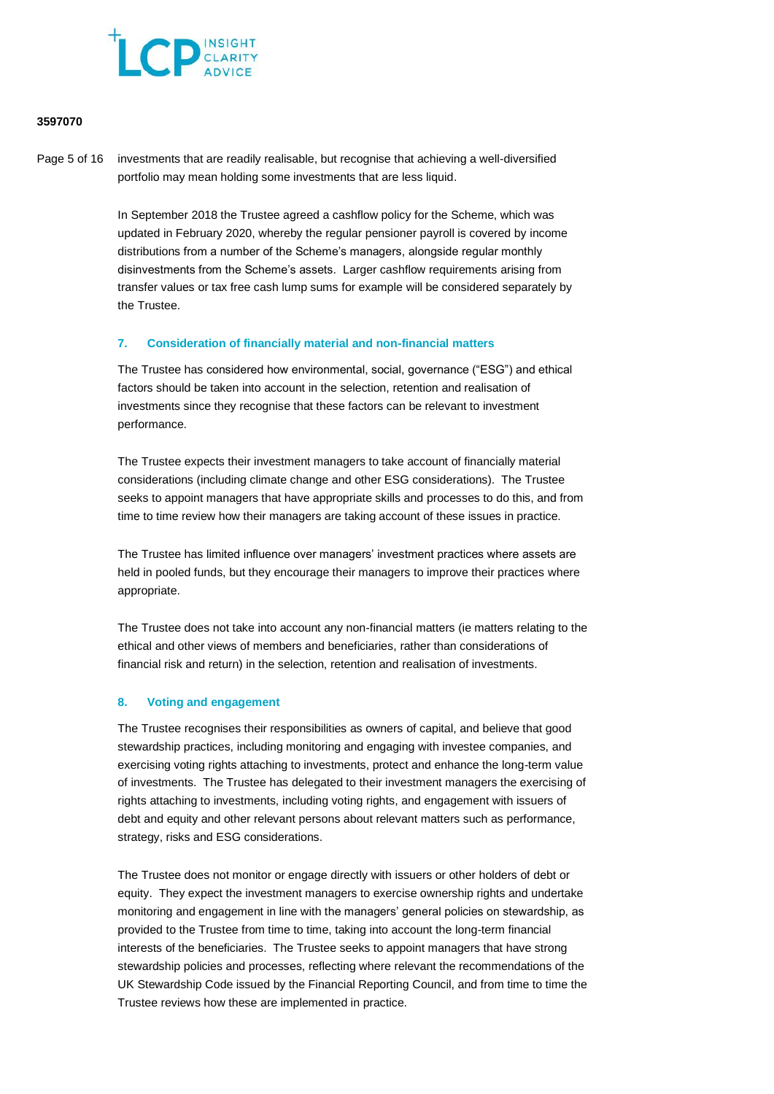

Page 5 of 16 investments that are readily realisable, but recognise that achieving a well-diversified portfolio may mean holding some investments that are less liquid.

> In September 2018 the Trustee agreed a cashflow policy for the Scheme, which was updated in February 2020, whereby the regular pensioner payroll is covered by income distributions from a number of the Scheme's managers, alongside regular monthly disinvestments from the Scheme's assets. Larger cashflow requirements arising from transfer values or tax free cash lump sums for example will be considered separately by the Trustee.

#### **7. Consideration of financially material and non-financial matters**

The Trustee has considered how environmental, social, governance ("ESG") and ethical factors should be taken into account in the selection, retention and realisation of investments since they recognise that these factors can be relevant to investment performance.

The Trustee expects their investment managers to take account of financially material considerations (including climate change and other ESG considerations). The Trustee seeks to appoint managers that have appropriate skills and processes to do this, and from time to time review how their managers are taking account of these issues in practice.

The Trustee has limited influence over managers' investment practices where assets are held in pooled funds, but they encourage their managers to improve their practices where appropriate.

The Trustee does not take into account any non-financial matters (ie matters relating to the ethical and other views of members and beneficiaries, rather than considerations of financial risk and return) in the selection, retention and realisation of investments.

# **8. Voting and engagement**

The Trustee recognises their responsibilities as owners of capital, and believe that good stewardship practices, including monitoring and engaging with investee companies, and exercising voting rights attaching to investments, protect and enhance the long-term value of investments. The Trustee has delegated to their investment managers the exercising of rights attaching to investments, including voting rights, and engagement with issuers of debt and equity and other relevant persons about relevant matters such as performance, strategy, risks and ESG considerations.

The Trustee does not monitor or engage directly with issuers or other holders of debt or equity. They expect the investment managers to exercise ownership rights and undertake monitoring and engagement in line with the managers' general policies on stewardship, as provided to the Trustee from time to time, taking into account the long-term financial interests of the beneficiaries. The Trustee seeks to appoint managers that have strong stewardship policies and processes, reflecting where relevant the recommendations of the UK Stewardship Code issued by the Financial Reporting Council, and from time to time the Trustee reviews how these are implemented in practice.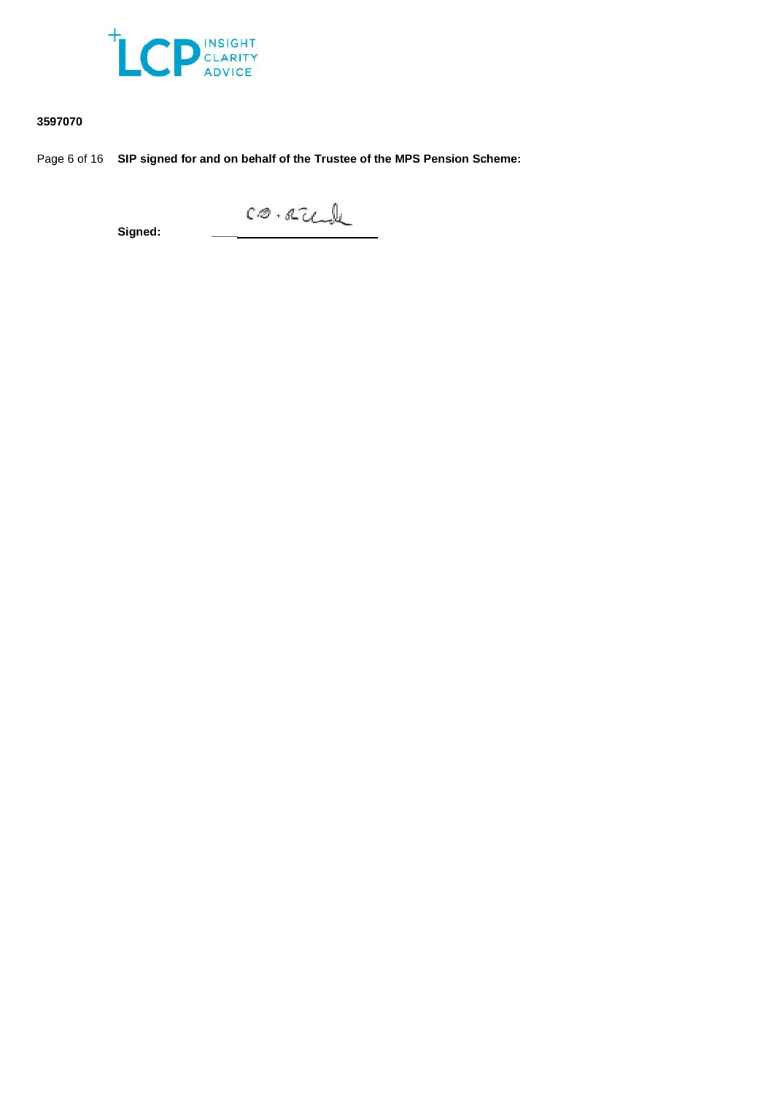

Page 6 of 16 **SIP signed for and on behalf of the Trustee of the MPS Pension Scheme:**

**Signed:**  $\begin{matrix}\nC\varnothing & C\varnothing\n\end{matrix}$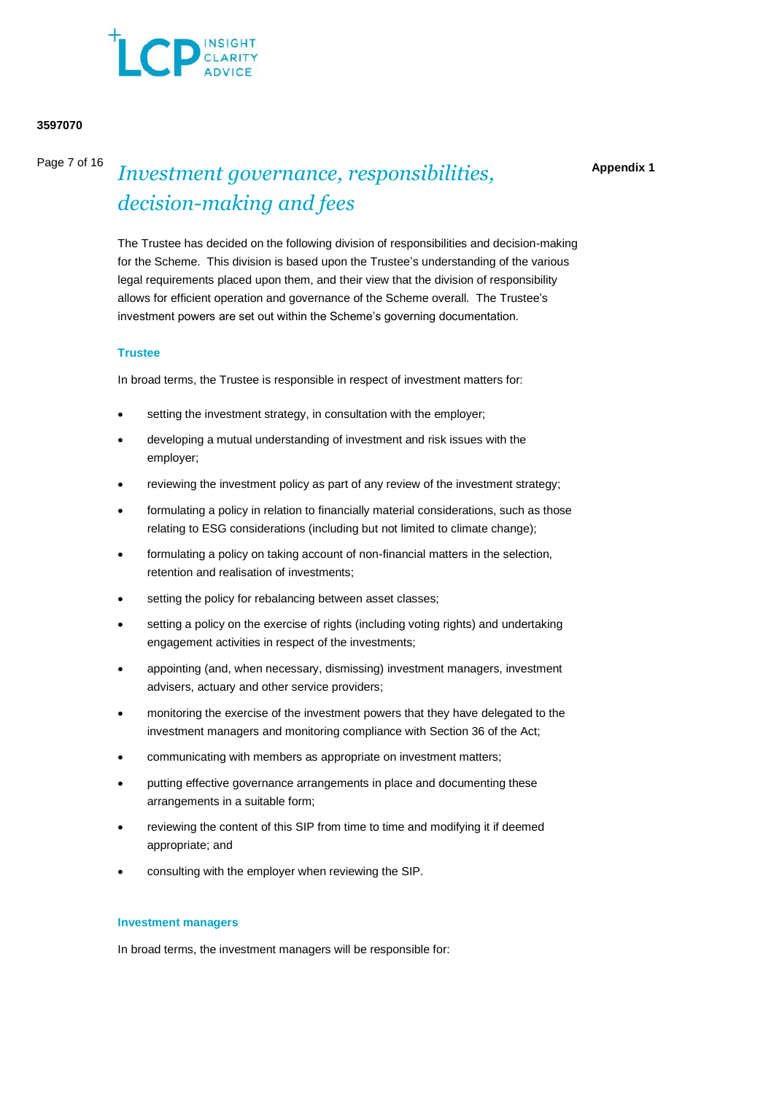

Page 7 of 16

# *Investment governance, responsibilities, decision-making and fees*

**Appendix 1**

The Trustee has decided on the following division of responsibilities and decision-making for the Scheme. This division is based upon the Trustee's understanding of the various legal requirements placed upon them, and their view that the division of responsibility allows for efficient operation and governance of the Scheme overall. The Trustee's investment powers are set out within the Scheme's governing documentation.

#### **Trustee**

In broad terms, the Trustee is responsible in respect of investment matters for:

- setting the investment strategy, in consultation with the employer;
- developing a mutual understanding of investment and risk issues with the employer;
- reviewing the investment policy as part of any review of the investment strategy;
- formulating a policy in relation to financially material considerations, such as those relating to ESG considerations (including but not limited to climate change);
- formulating a policy on taking account of non-financial matters in the selection, retention and realisation of investments;
- setting the policy for rebalancing between asset classes;
- setting a policy on the exercise of rights (including voting rights) and undertaking engagement activities in respect of the investments;
- appointing (and, when necessary, dismissing) investment managers, investment advisers, actuary and other service providers;
- monitoring the exercise of the investment powers that they have delegated to the investment managers and monitoring compliance with Section 36 of the Act;
- communicating with members as appropriate on investment matters;
- putting effective governance arrangements in place and documenting these arrangements in a suitable form;
- reviewing the content of this SIP from time to time and modifying it if deemed appropriate; and
- consulting with the employer when reviewing the SIP.

#### **Investment managers**

In broad terms, the investment managers will be responsible for: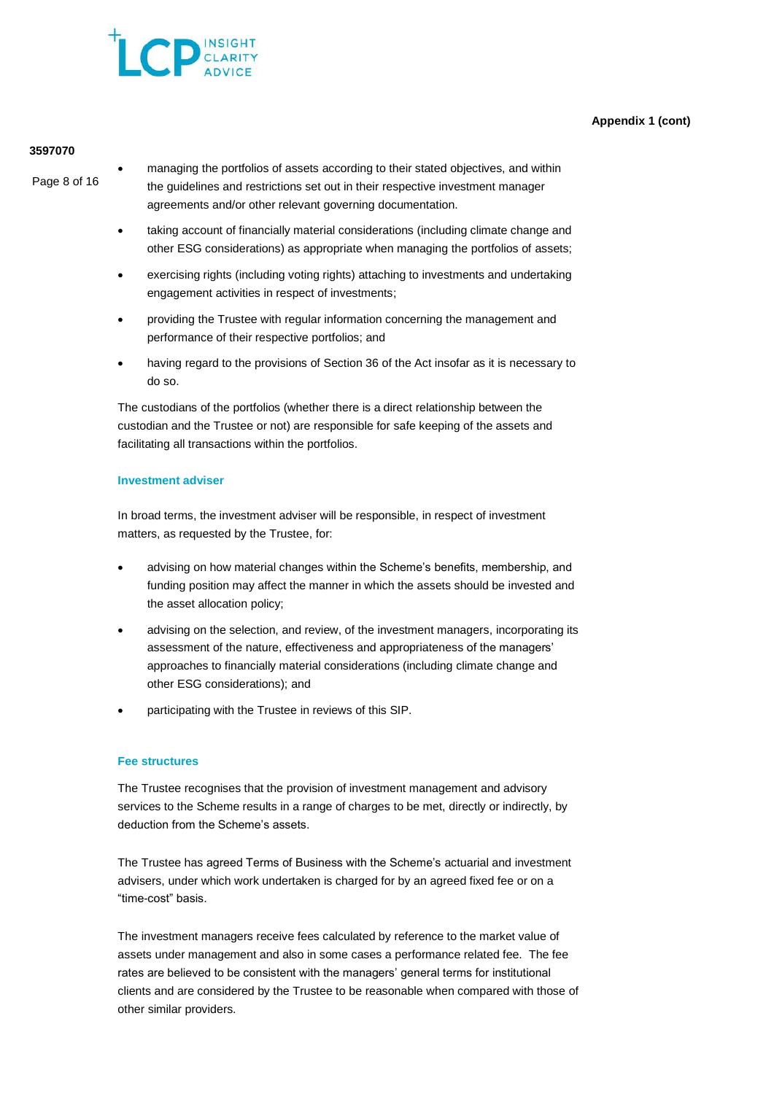# **Appendix 1 (cont)**



### **3597070**

Page 8 of 16

• managing the portfolios of assets according to their stated objectives, and within the guidelines and restrictions set out in their respective investment manager agreements and/or other relevant governing documentation.

- taking account of financially material considerations (including climate change and other ESG considerations) as appropriate when managing the portfolios of assets;
- exercising rights (including voting rights) attaching to investments and undertaking engagement activities in respect of investments;
- providing the Trustee with regular information concerning the management and performance of their respective portfolios; and
- having regard to the provisions of Section 36 of the Act insofar as it is necessary to do so.

The custodians of the portfolios (whether there is a direct relationship between the custodian and the Trustee or not) are responsible for safe keeping of the assets and facilitating all transactions within the portfolios.

# **Investment adviser**

In broad terms, the investment adviser will be responsible, in respect of investment matters, as requested by the Trustee, for:

- advising on how material changes within the Scheme's benefits, membership, and funding position may affect the manner in which the assets should be invested and the asset allocation policy;
- advising on the selection, and review, of the investment managers, incorporating its assessment of the nature, effectiveness and appropriateness of the managers' approaches to financially material considerations (including climate change and other ESG considerations); and
- participating with the Trustee in reviews of this SIP.

# **Fee structures**

The Trustee recognises that the provision of investment management and advisory services to the Scheme results in a range of charges to be met, directly or indirectly, by deduction from the Scheme's assets.

The Trustee has agreed Terms of Business with the Scheme's actuarial and investment advisers, under which work undertaken is charged for by an agreed fixed fee or on a "time-cost" basis.

The investment managers receive fees calculated by reference to the market value of assets under management and also in some cases a performance related fee. The fee rates are believed to be consistent with the managers' general terms for institutional clients and are considered by the Trustee to be reasonable when compared with those of other similar providers.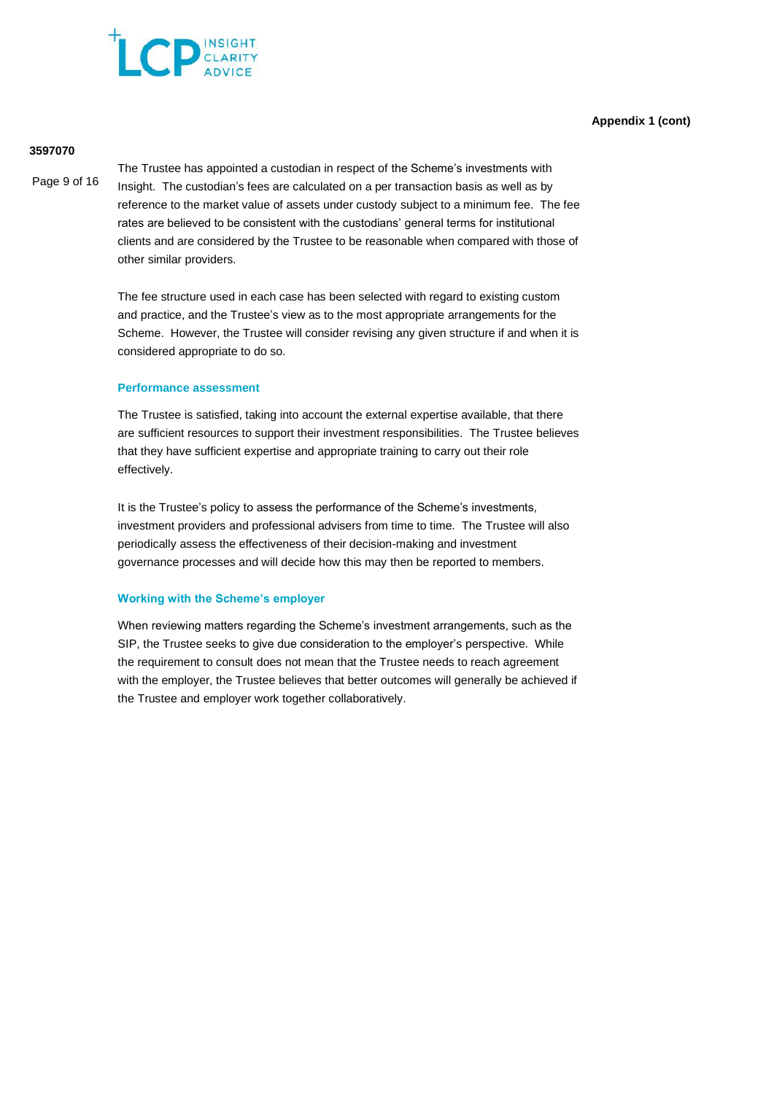

# **Appendix 1 (cont)**

#### **3597070**

Page 9 of 16

The Trustee has appointed a custodian in respect of the Scheme's investments with Insight. The custodian's fees are calculated on a per transaction basis as well as by reference to the market value of assets under custody subject to a minimum fee. The fee rates are believed to be consistent with the custodians' general terms for institutional clients and are considered by the Trustee to be reasonable when compared with those of other similar providers.

The fee structure used in each case has been selected with regard to existing custom and practice, and the Trustee's view as to the most appropriate arrangements for the Scheme. However, the Trustee will consider revising any given structure if and when it is considered appropriate to do so.

#### **Performance assessment**

The Trustee is satisfied, taking into account the external expertise available, that there are sufficient resources to support their investment responsibilities. The Trustee believes that they have sufficient expertise and appropriate training to carry out their role effectively.

It is the Trustee's policy to assess the performance of the Scheme's investments, investment providers and professional advisers from time to time. The Trustee will also periodically assess the effectiveness of their decision-making and investment governance processes and will decide how this may then be reported to members.

#### **Working with the Scheme's employer**

When reviewing matters regarding the Scheme's investment arrangements, such as the SIP, the Trustee seeks to give due consideration to the employer's perspective. While the requirement to consult does not mean that the Trustee needs to reach agreement with the employer, the Trustee believes that better outcomes will generally be achieved if the Trustee and employer work together collaboratively.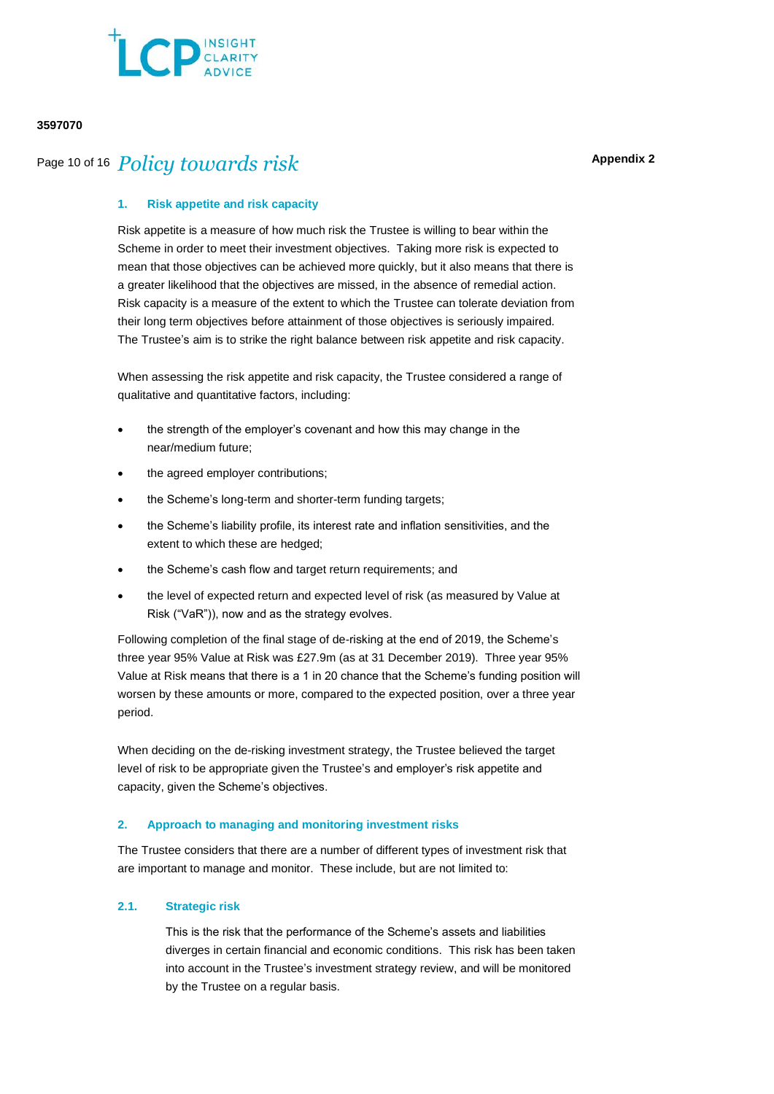

# **Appendix 2**

# Page 10 of 16 *Policy towards risk*

### **1. Risk appetite and risk capacity**

Risk appetite is a measure of how much risk the Trustee is willing to bear within the Scheme in order to meet their investment objectives. Taking more risk is expected to mean that those objectives can be achieved more quickly, but it also means that there is a greater likelihood that the objectives are missed, in the absence of remedial action. Risk capacity is a measure of the extent to which the Trustee can tolerate deviation from their long term objectives before attainment of those objectives is seriously impaired. The Trustee's aim is to strike the right balance between risk appetite and risk capacity.

When assessing the risk appetite and risk capacity, the Trustee considered a range of qualitative and quantitative factors, including:

- the strength of the employer's covenant and how this may change in the near/medium future;
- the agreed employer contributions;
- the Scheme's long-term and shorter-term funding targets;
- the Scheme's liability profile, its interest rate and inflation sensitivities, and the extent to which these are hedged;
- the Scheme's cash flow and target return requirements; and
- the level of expected return and expected level of risk (as measured by Value at Risk ("VaR")), now and as the strategy evolves.

Following completion of the final stage of de-risking at the end of 2019, the Scheme's three year 95% Value at Risk was £27.9m (as at 31 December 2019). Three year 95% Value at Risk means that there is a 1 in 20 chance that the Scheme's funding position will worsen by these amounts or more, compared to the expected position, over a three year period.

When deciding on the de-risking investment strategy, the Trustee believed the target level of risk to be appropriate given the Trustee's and employer's risk appetite and capacity, given the Scheme's objectives.

#### **2. Approach to managing and monitoring investment risks**

The Trustee considers that there are a number of different types of investment risk that are important to manage and monitor. These include, but are not limited to:

# **2.1. Strategic risk**

This is the risk that the performance of the Scheme's assets and liabilities diverges in certain financial and economic conditions. This risk has been taken into account in the Trustee's investment strategy review, and will be monitored by the Trustee on a regular basis.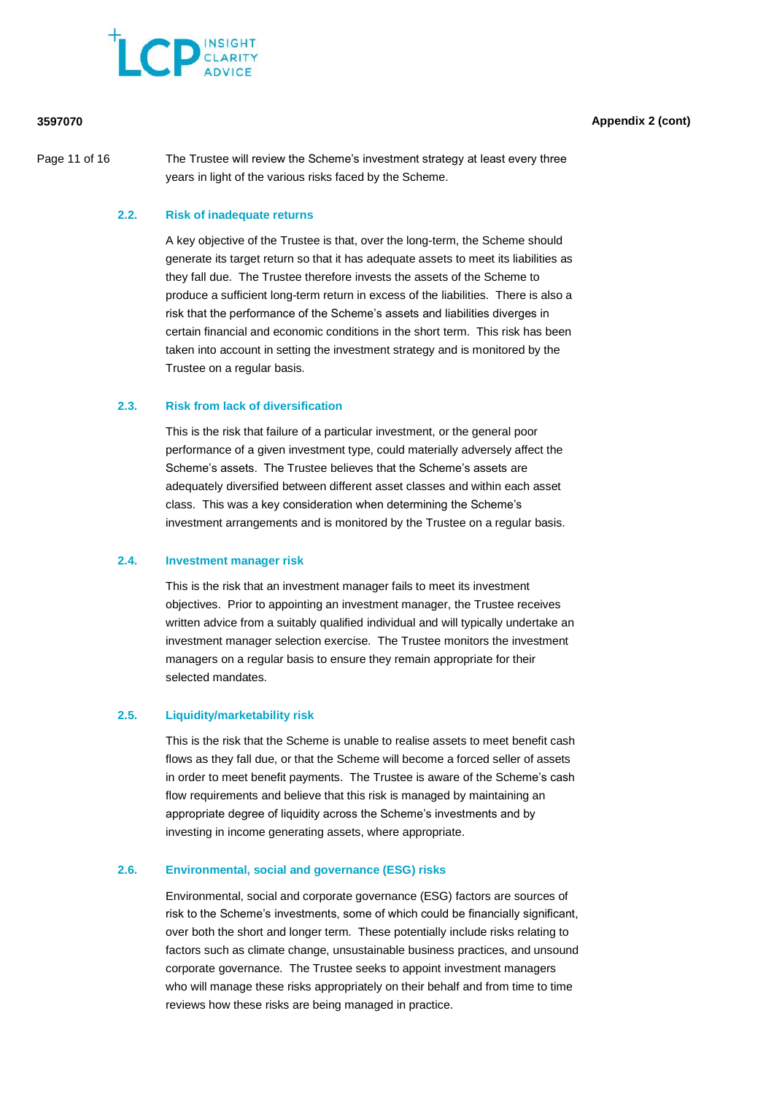

Page 11 of 16 The Trustee will review the Scheme's investment strategy at least every three years in light of the various risks faced by the Scheme.

# **2.2. Risk of inadequate returns**

A key objective of the Trustee is that, over the long-term, the Scheme should generate its target return so that it has adequate assets to meet its liabilities as they fall due. The Trustee therefore invests the assets of the Scheme to produce a sufficient long-term return in excess of the liabilities. There is also a risk that the performance of the Scheme's assets and liabilities diverges in certain financial and economic conditions in the short term. This risk has been taken into account in setting the investment strategy and is monitored by the Trustee on a regular basis.

#### **2.3. Risk from lack of diversification**

This is the risk that failure of a particular investment, or the general poor performance of a given investment type, could materially adversely affect the Scheme's assets. The Trustee believes that the Scheme's assets are adequately diversified between different asset classes and within each asset class. This was a key consideration when determining the Scheme's investment arrangements and is monitored by the Trustee on a regular basis.

#### **2.4. Investment manager risk**

This is the risk that an investment manager fails to meet its investment objectives. Prior to appointing an investment manager, the Trustee receives written advice from a suitably qualified individual and will typically undertake an investment manager selection exercise. The Trustee monitors the investment managers on a regular basis to ensure they remain appropriate for their selected mandates.

#### **2.5. Liquidity/marketability risk**

This is the risk that the Scheme is unable to realise assets to meet benefit cash flows as they fall due, or that the Scheme will become a forced seller of assets in order to meet benefit payments. The Trustee is aware of the Scheme's cash flow requirements and believe that this risk is managed by maintaining an appropriate degree of liquidity across the Scheme's investments and by investing in income generating assets, where appropriate.

### **2.6. Environmental, social and governance (ESG) risks**

Environmental, social and corporate governance (ESG) factors are sources of risk to the Scheme's investments, some of which could be financially significant, over both the short and longer term. These potentially include risks relating to factors such as climate change, unsustainable business practices, and unsound corporate governance. The Trustee seeks to appoint investment managers who will manage these risks appropriately on their behalf and from time to time reviews how these risks are being managed in practice.

# **3597070 Appendix 2 (cont)**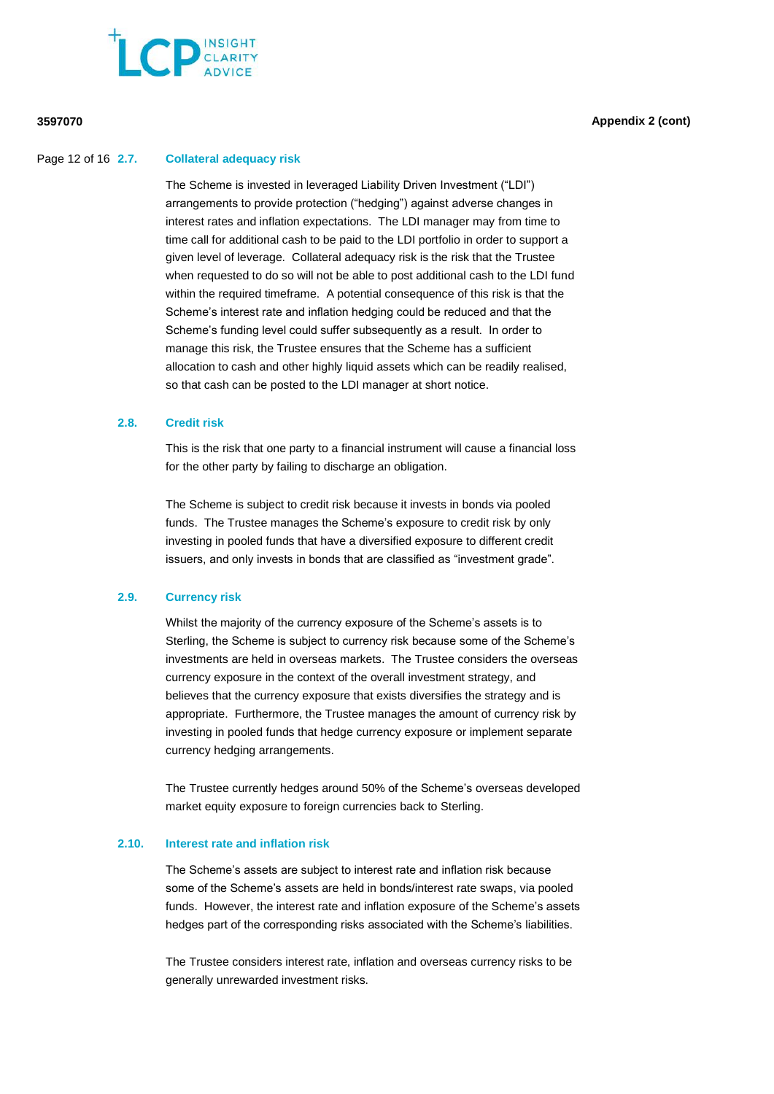

#### Page 12 of 16 **2.7. Collateral adequacy risk**

The Scheme is invested in leveraged Liability Driven Investment ("LDI") arrangements to provide protection ("hedging") against adverse changes in interest rates and inflation expectations. The LDI manager may from time to time call for additional cash to be paid to the LDI portfolio in order to support a given level of leverage. Collateral adequacy risk is the risk that the Trustee when requested to do so will not be able to post additional cash to the LDI fund within the required timeframe. A potential consequence of this risk is that the Scheme's interest rate and inflation hedging could be reduced and that the Scheme's funding level could suffer subsequently as a result. In order to manage this risk, the Trustee ensures that the Scheme has a sufficient allocation to cash and other highly liquid assets which can be readily realised, so that cash can be posted to the LDI manager at short notice.

#### **2.8. Credit risk**

This is the risk that one party to a financial instrument will cause a financial loss for the other party by failing to discharge an obligation.

The Scheme is subject to credit risk because it invests in bonds via pooled funds. The Trustee manages the Scheme's exposure to credit risk by only investing in pooled funds that have a diversified exposure to different credit issuers, and only invests in bonds that are classified as "investment grade".

#### **2.9. Currency risk**

Whilst the majority of the currency exposure of the Scheme's assets is to Sterling, the Scheme is subject to currency risk because some of the Scheme's investments are held in overseas markets. The Trustee considers the overseas currency exposure in the context of the overall investment strategy, and believes that the currency exposure that exists diversifies the strategy and is appropriate. Furthermore, the Trustee manages the amount of currency risk by investing in pooled funds that hedge currency exposure or implement separate currency hedging arrangements.

The Trustee currently hedges around 50% of the Scheme's overseas developed market equity exposure to foreign currencies back to Sterling.

# **2.10. Interest rate and inflation risk**

The Scheme's assets are subject to interest rate and inflation risk because some of the Scheme's assets are held in bonds/interest rate swaps, via pooled funds. However, the interest rate and inflation exposure of the Scheme's assets hedges part of the corresponding risks associated with the Scheme's liabilities.

The Trustee considers interest rate, inflation and overseas currency risks to be generally unrewarded investment risks.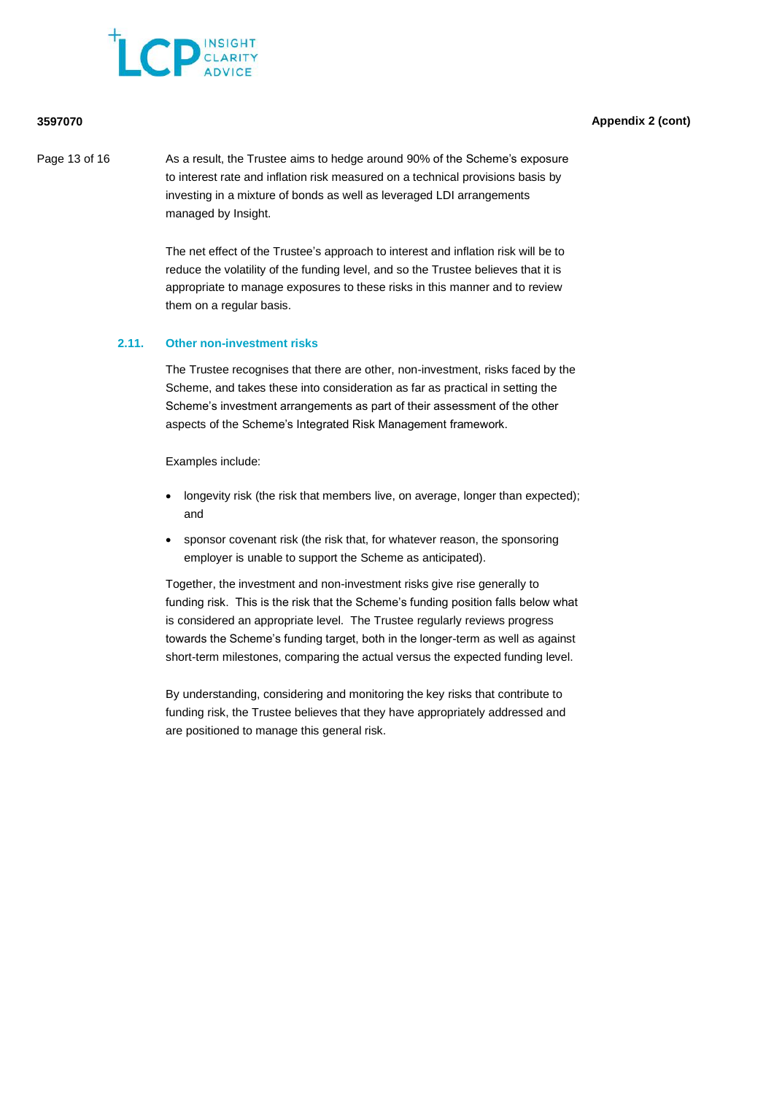

Page 13 of 16 As a result, the Trustee aims to hedge around 90% of the Scheme's exposure to interest rate and inflation risk measured on a technical provisions basis by investing in a mixture of bonds as well as leveraged LDI arrangements managed by Insight.

> The net effect of the Trustee's approach to interest and inflation risk will be to reduce the volatility of the funding level, and so the Trustee believes that it is appropriate to manage exposures to these risks in this manner and to review them on a regular basis.

#### **2.11. Other non-investment risks**

The Trustee recognises that there are other, non-investment, risks faced by the Scheme, and takes these into consideration as far as practical in setting the Scheme's investment arrangements as part of their assessment of the other aspects of the Scheme's Integrated Risk Management framework.

Examples include:

- longevity risk (the risk that members live, on average, longer than expected); and
- sponsor covenant risk (the risk that, for whatever reason, the sponsoring employer is unable to support the Scheme as anticipated).

Together, the investment and non-investment risks give rise generally to funding risk. This is the risk that the Scheme's funding position falls below what is considered an appropriate level. The Trustee regularly reviews progress towards the Scheme's funding target, both in the longer-term as well as against short-term milestones, comparing the actual versus the expected funding level.

By understanding, considering and monitoring the key risks that contribute to funding risk, the Trustee believes that they have appropriately addressed and are positioned to manage this general risk.

## **3597070 Appendix 2 (cont)**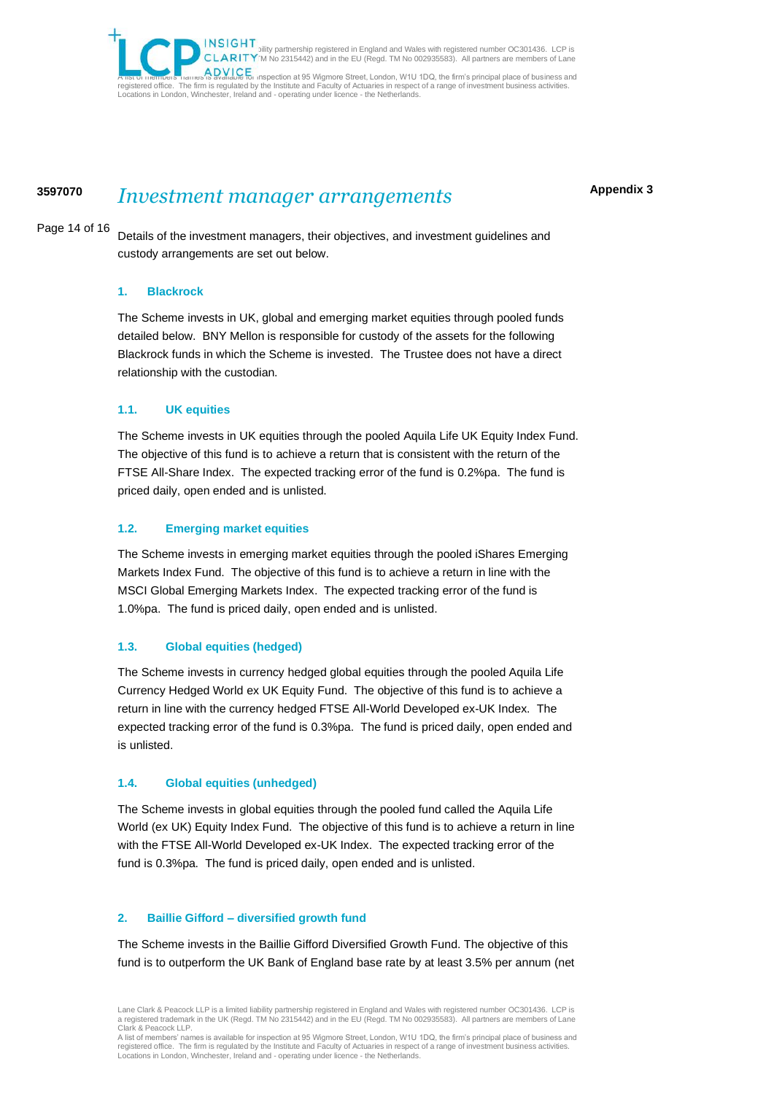bility partnership registered in England and Wales with registered number OC301436. LCP is<br>CLARITY M No 2315442) and in the EU (Regd. TM No 002935583). All partners are members of Lane Clark & Peacock LLP. A DVICE<br>Is available for inspection at 95 Wigmore Street, London, W1U 1DQ, the firm's principal place of business and registered office. The firm is regulated by the Institute and Faculty of Actuaries in respect of a range of investment business activities.<br>Locations in London, Winchester, Ireland and - operating under licence - the Nethe

# **<sup>3597070</sup>** *Investment manager arrangements*

#### Page 14 of 16

Details of the investment managers, their objectives, and investment guidelines and custody arrangements are set out below.

### **1. Blackrock**

The Scheme invests in UK, global and emerging market equities through pooled funds detailed below. BNY Mellon is responsible for custody of the assets for the following Blackrock funds in which the Scheme is invested. The Trustee does not have a direct relationship with the custodian.

# **1.1. UK equities**

The Scheme invests in UK equities through the pooled Aquila Life UK Equity Index Fund. The objective of this fund is to achieve a return that is consistent with the return of the FTSE All-Share Index. The expected tracking error of the fund is 0.2%pa. The fund is priced daily, open ended and is unlisted.

### **1.2. Emerging market equities**

The Scheme invests in emerging market equities through the pooled iShares Emerging Markets Index Fund. The objective of this fund is to achieve a return in line with the MSCI Global Emerging Markets Index. The expected tracking error of the fund is 1.0%pa. The fund is priced daily, open ended and is unlisted.

# **1.3. Global equities (hedged)**

The Scheme invests in currency hedged global equities through the pooled Aquila Life Currency Hedged World ex UK Equity Fund. The objective of this fund is to achieve a return in line with the currency hedged FTSE All-World Developed ex-UK Index. The expected tracking error of the fund is 0.3%pa. The fund is priced daily, open ended and is unlisted.

# **1.4. Global equities (unhedged)**

The Scheme invests in global equities through the pooled fund called the Aquila Life World (ex UK) Equity Index Fund. The objective of this fund is to achieve a return in line with the FTSE All-World Developed ex-UK Index. The expected tracking error of the fund is 0.3%pa. The fund is priced daily, open ended and is unlisted.

# **2. Baillie Gifford – diversified growth fund**

The Scheme invests in the Baillie Gifford Diversified Growth Fund. The objective of this fund is to outperform the UK Bank of England base rate by at least 3.5% per annum (net

**Appendix 3**

Lane Clark & Peacock LLP is a limited liability partnership registered in England and Wales with registered number OC301436. LCP is a registered trademark in the UK (Regd. TM No 2315442) and in the EU (Regd. TM No 002935583). All partners are members of Lane Clark & Peacock LLP.

A list of members' names is available for inspection at 95 Wigmore Street, London, W1U 1DQ, the firm's principal place of business and registered office. The firm is regulated by the Institute and Faculty of Actuaries in respect of a range of investment business activities. Locations in London, Winchester, Ireland and - operating under licence - the Netherlands.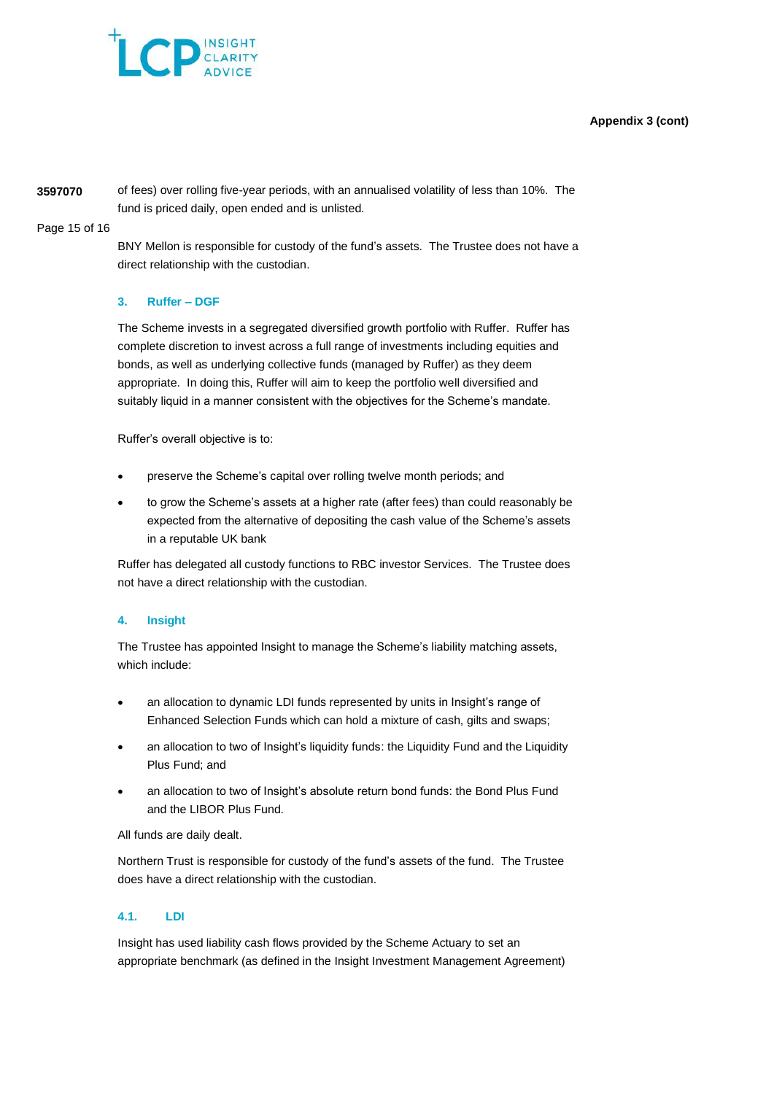# **Appendix 3 (cont)**



**3597070** of fees) over rolling five-year periods, with an annualised volatility of less than 10%. The fund is priced daily, open ended and is unlisted.

Page 15 of 16

BNY Mellon is responsible for custody of the fund's assets. The Trustee does not have a direct relationship with the custodian.

# **3. Ruffer – DGF**

The Scheme invests in a segregated diversified growth portfolio with Ruffer. Ruffer has complete discretion to invest across a full range of investments including equities and bonds, as well as underlying collective funds (managed by Ruffer) as they deem appropriate. In doing this, Ruffer will aim to keep the portfolio well diversified and suitably liquid in a manner consistent with the objectives for the Scheme's mandate.

Ruffer's overall objective is to:

- preserve the Scheme's capital over rolling twelve month periods; and
- to grow the Scheme's assets at a higher rate (after fees) than could reasonably be expected from the alternative of depositing the cash value of the Scheme's assets in a reputable UK bank

Ruffer has delegated all custody functions to RBC investor Services. The Trustee does not have a direct relationship with the custodian.

# **4. Insight**

The Trustee has appointed Insight to manage the Scheme's liability matching assets, which include:

- an allocation to dynamic LDI funds represented by units in Insight's range of Enhanced Selection Funds which can hold a mixture of cash, gilts and swaps;
- an allocation to two of Insight's liquidity funds: the Liquidity Fund and the Liquidity Plus Fund; and
- an allocation to two of Insight's absolute return bond funds: the Bond Plus Fund and the LIBOR Plus Fund.

All funds are daily dealt.

Northern Trust is responsible for custody of the fund's assets of the fund. The Trustee does have a direct relationship with the custodian.

# **4.1. LDI**

Insight has used liability cash flows provided by the Scheme Actuary to set an appropriate benchmark (as defined in the Insight Investment Management Agreement)